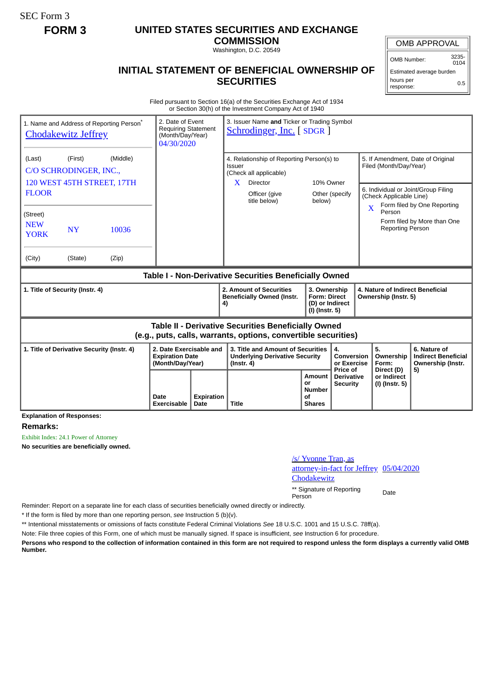SEC Form 3

## **FORM 3 UNITED STATES SECURITIES AND EXCHANGE**

**COMMISSION** Washington, D.C. 20549

OMB APPROVAL

OMB Number: 3235-  $0104$ 

Estimated average burden hours per response: 0.5

## **INITIAL STATEMENT OF BENEFICIAL OWNERSHIP OF SECURITIES**

Filed pursuant to Section 16(a) of the Securities Exchange Act of 1934 or Section 30(h) of the Investment Company Act of 1940

| 1. Name and Address of Reporting Person <sup>®</sup><br><b>Chodakewitz Jeffrey</b>                                           | 2. Date of Event<br><b>Requiring Statement</b><br>(Month/Day/Year)<br>04/30/2020 | 3. Issuer Name and Ticker or Trading Symbol<br><b>Schrodinger, Inc.</b> [SDGR] |                                                                                                              |                                                                          |                                             |                                                                                                              |                                                                       |  |
|------------------------------------------------------------------------------------------------------------------------------|----------------------------------------------------------------------------------|--------------------------------------------------------------------------------|--------------------------------------------------------------------------------------------------------------|--------------------------------------------------------------------------|---------------------------------------------|--------------------------------------------------------------------------------------------------------------|-----------------------------------------------------------------------|--|
| (First)<br>(Middle)<br>(Last)<br>C/O SCHRODINGER, INC.,<br>120 WEST 45TH STREET, 17TH                                        |                                                                                  |                                                                                | 4. Relationship of Reporting Person(s) to<br>Issuer<br>(Check all applicable)<br>10% Owner<br>Director<br>X. |                                                                          |                                             | 5. If Amendment, Date of Original<br>Filed (Month/Day/Year)                                                  |                                                                       |  |
| <b>FLOOR</b>                                                                                                                 |                                                                                  |                                                                                | Officer (give<br>title below)                                                                                | Other (specify<br>below)                                                 |                                             | 6. Individual or Joint/Group Filing<br>(Check Applicable Line)<br>Form filed by One Reporting<br>X<br>Person |                                                                       |  |
| (Street)<br><b>NEW</b><br><b>NY</b><br>10036<br><b>YORK</b>                                                                  |                                                                                  |                                                                                |                                                                                                              |                                                                          |                                             | <b>Reporting Person</b>                                                                                      | Form filed by More than One                                           |  |
| (City)<br>(State)<br>(Zip)                                                                                                   |                                                                                  |                                                                                |                                                                                                              |                                                                          |                                             |                                                                                                              |                                                                       |  |
| Table I - Non-Derivative Securities Beneficially Owned                                                                       |                                                                                  |                                                                                |                                                                                                              |                                                                          |                                             |                                                                                                              |                                                                       |  |
| 1. Title of Security (Instr. 4)                                                                                              |                                                                                  |                                                                                | 2. Amount of Securities<br><b>Beneficially Owned (Instr.</b><br>4)                                           | 3. Ownership<br><b>Form: Direct</b><br>(D) or Indirect<br>(I) (Instr. 5) |                                             | Ownership (Instr. 5)                                                                                         | 4. Nature of Indirect Beneficial                                      |  |
| <b>Table II - Derivative Securities Beneficially Owned</b><br>(e.g., puts, calls, warrants, options, convertible securities) |                                                                                  |                                                                                |                                                                                                              |                                                                          |                                             |                                                                                                              |                                                                       |  |
| 2. Date Exercisable and<br>1. Title of Derivative Security (Instr. 4)<br><b>Expiration Date</b><br>(Month/Day/Year)          |                                                                                  |                                                                                | 3. Title and Amount of Securities<br><b>Underlying Derivative Security</b><br>$($ lnstr. 4 $)$               |                                                                          | 4.<br>Conversion<br>or Exercise<br>Price of | 5.<br>Ownership<br>Form:<br>Direct (D)                                                                       | 6. Nature of<br><b>Indirect Beneficial</b><br>Ownership (Instr.<br>5) |  |
| <b>Explanation of Responses:</b>                                                                                             | Date<br>Exercisable                                                              | Expiration<br>Date                                                             | <b>Title</b>                                                                                                 | <b>Amount</b><br>or<br><b>Number</b><br>οf<br><b>Shares</b>              | <b>Derivative</b><br><b>Security</b>        | or Indirect<br>(I) (Instr. 5)                                                                                |                                                                       |  |

**Remarks:**

Exhibit Index: 24.1 Power of Attorney

**No securities are beneficially owned.**

/s/ Yvonne Tran, as attorney-in-fact for Jeffrey 05/04/2020

**Chodakewitz** 

\*\* Signature of Reporting Person Date

Reminder: Report on a separate line for each class of securities beneficially owned directly or indirectly.

\* If the form is filed by more than one reporting person, *see* Instruction 5 (b)(v).

\*\* Intentional misstatements or omissions of facts constitute Federal Criminal Violations *See* 18 U.S.C. 1001 and 15 U.S.C. 78ff(a).

Note: File three copies of this Form, one of which must be manually signed. If space is insufficient, *see* Instruction 6 for procedure.

**Persons who respond to the collection of information contained in this form are not required to respond unless the form displays a currently valid OMB Number.**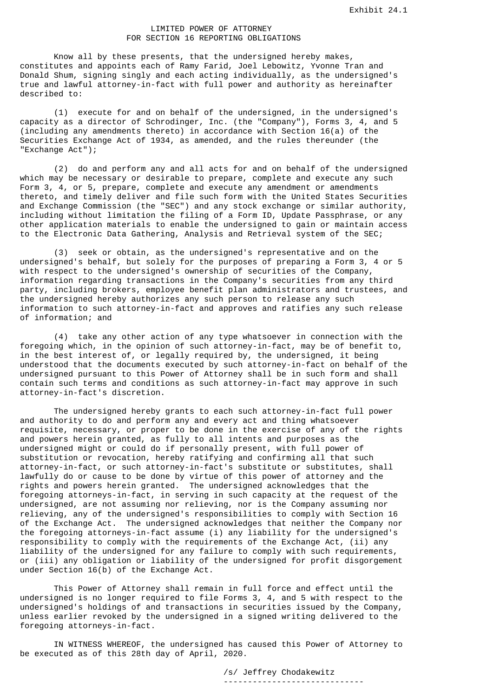## LIMITED POWER OF ATTORNEY FOR SECTION 16 REPORTING OBLIGATIONS

 Know all by these presents, that the undersigned hereby makes, constitutes and appoints each of Ramy Farid, Joel Lebowitz, Yvonne Tran and Donald Shum, signing singly and each acting individually, as the undersigned's true and lawful attorney-in-fact with full power and authority as hereinafter described to:

 (1) execute for and on behalf of the undersigned, in the undersigned's capacity as a director of Schrodinger, Inc. (the "Company"), Forms 3, 4, and 5 (including any amendments thereto) in accordance with Section 16(a) of the Securities Exchange Act of 1934, as amended, and the rules thereunder (the "Exchange Act");

 (2) do and perform any and all acts for and on behalf of the undersigned which may be necessary or desirable to prepare, complete and execute any such Form 3, 4, or 5, prepare, complete and execute any amendment or amendments thereto, and timely deliver and file such form with the United States Securities and Exchange Commission (the "SEC") and any stock exchange or similar authority, including without limitation the filing of a Form ID, Update Passphrase, or any other application materials to enable the undersigned to gain or maintain access to the Electronic Data Gathering, Analysis and Retrieval system of the SEC;

 (3) seek or obtain, as the undersigned's representative and on the undersigned's behalf, but solely for the purposes of preparing a Form 3, 4 or 5 with respect to the undersigned's ownership of securities of the Company, information regarding transactions in the Company's securities from any third party, including brokers, employee benefit plan administrators and trustees, and the undersigned hereby authorizes any such person to release any such information to such attorney-in-fact and approves and ratifies any such release of information; and

 (4) take any other action of any type whatsoever in connection with the foregoing which, in the opinion of such attorney-in-fact, may be of benefit to, in the best interest of, or legally required by, the undersigned, it being understood that the documents executed by such attorney-in-fact on behalf of the undersigned pursuant to this Power of Attorney shall be in such form and shall contain such terms and conditions as such attorney-in-fact may approve in such attorney-in-fact's discretion.

 The undersigned hereby grants to each such attorney-in-fact full power and authority to do and perform any and every act and thing whatsoever requisite, necessary, or proper to be done in the exercise of any of the rights and powers herein granted, as fully to all intents and purposes as the undersigned might or could do if personally present, with full power of substitution or revocation, hereby ratifying and confirming all that such attorney-in-fact, or such attorney-in-fact's substitute or substitutes, shall lawfully do or cause to be done by virtue of this power of attorney and the rights and powers herein granted. The undersigned acknowledges that the foregoing attorneys-in-fact, in serving in such capacity at the request of the undersigned, are not assuming nor relieving, nor is the Company assuming nor relieving, any of the undersigned's responsibilities to comply with Section 16 of the Exchange Act. The undersigned acknowledges that neither the Company nor the foregoing attorneys-in-fact assume (i) any liability for the undersigned's responsibility to comply with the requirements of the Exchange Act, (ii) any liability of the undersigned for any failure to comply with such requirements, or (iii) any obligation or liability of the undersigned for profit disgorgement under Section 16(b) of the Exchange Act.

 This Power of Attorney shall remain in full force and effect until the undersigned is no longer required to file Forms 3, 4, and 5 with respect to the undersigned's holdings of and transactions in securities issued by the Company, unless earlier revoked by the undersigned in a signed writing delivered to the foregoing attorneys-in-fact.

 IN WITNESS WHEREOF, the undersigned has caused this Power of Attorney to be executed as of this 28th day of April, 2020.

 /s/ Jeffrey Chodakewitz -----------------------------